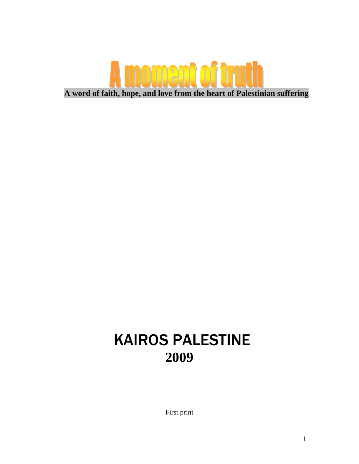

## KAIROS PALESTINE  **2009**

First print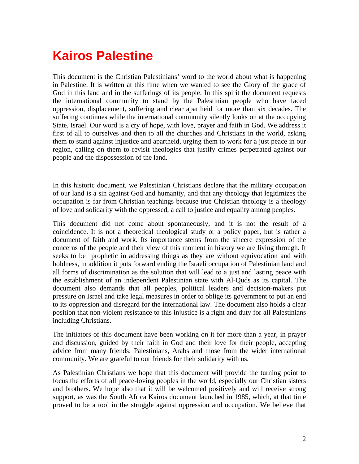## **Kairos Palestine**

This document is the Christian Palestinians' word to the world about what is happening in Palestine. It is written at this time when we wanted to see the Glory of the grace of God in this land and in the sufferings of its people. In this spirit the document requests the international community to stand by the Palestinian people who have faced oppression, displacement, suffering and clear apartheid for more than six decades. The suffering continues while the international community silently looks on at the occupying State, Israel. Our word is a cry of hope, with love, prayer and faith in God. We address it first of all to ourselves and then to all the churches and Christians in the world, asking them to stand against injustice and apartheid, urging them to work for a just peace in our region, calling on them to revisit theologies that justify crimes perpetrated against our people and the dispossession of the land.

In this historic document, we Palestinian Christians declare that the military occupation of our land is a sin against God and humanity, and that any theology that legitimizes the occupation is far from Christian teachings because true Christian theology is a theology of love and solidarity with the oppressed, a call to justice and equality among peoples.

This document did not come about spontaneously, and it is not the result of a coincidence. It is not a theoretical theological study or a policy paper, but is rather a document of faith and work. Its importance stems from the sincere expression of the concerns of the people and their view of this moment in history we are living through. It seeks to be prophetic in addressing things as they are without equivocation and with boldness, in addition it puts forward ending the Israeli occupation of Palestinian land and all forms of discrimination as the solution that will lead to a just and lasting peace with the establishment of an independent Palestinian state with Al-Quds as its capital. The document also demands that all peoples, political leaders and decision-makers put pressure on Israel and take legal measures in order to oblige its government to put an end to its oppression and disregard for the international law. The document also holds a clear position that non-violent resistance to this injustice is a right and duty for all Palestinians including Christians.

The initiators of this document have been working on it for more than a year, in prayer and discussion, guided by their faith in God and their love for their people, accepting advice from many friends: Palestinians, Arabs and those from the wider international community. We are grateful to our friends for their solidarity with us.

As Palestinian Christians we hope that this document will provide the turning point to focus the efforts of all peace-loving peoples in the world, especially our Christian sisters and brothers. We hope also that it will be welcomed positively and will receive strong support, as was the South Africa Kairos document launched in 1985, which, at that time proved to be a tool in the struggle against oppression and occupation. We believe that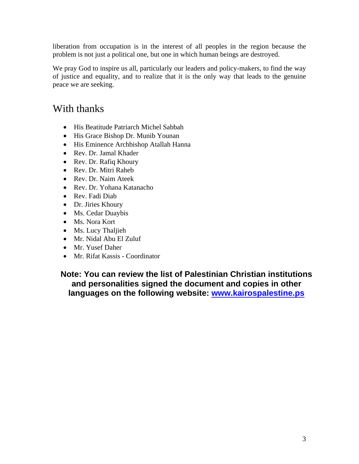liberation from occupation is in the interest of all peoples in the region because the problem is not just a political one, but one in which human beings are destroyed.

We pray God to inspire us all, particularly our leaders and policy-makers, to find the way of justice and equality, and to realize that it is the only way that leads to the genuine peace we are seeking.

### With thanks

- His Beatitude Patriarch Michel Sabbah
- His Grace Bishop Dr. Munib Younan
- His Eminence Archbishop Atallah Hanna
- Rev. Dr. Jamal Khader
- Rev. Dr. Rafiq Khoury
- Rev. Dr. Mitri Raheb
- Rev. Dr. Naim Ateek
- Rev. Dr. Yohana Katanacho
- Rev. Fadi Diab
- Dr. Jiries Khoury
- Ms. Cedar Duaybis
- Ms. Nora Kort
- Ms. Lucy Thaljieh
- Mr. Nidal Abu El Zuluf
- Mr. Yusef Daher
- Mr. Rifat Kassis Coordinator

**Note: You can review the list of Palestinian Christian institutions and personalities signed the document and copies in other languages on the following website: www.kairospalestine.ps**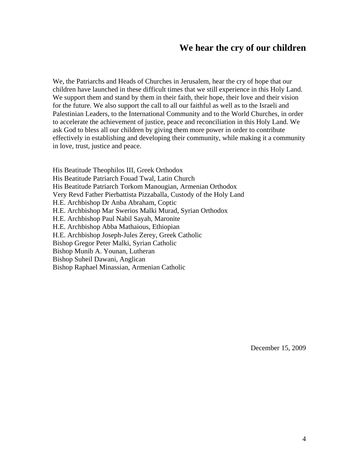### **We hear the cry of our children**

We, the Patriarchs and Heads of Churches in Jerusalem, hear the cry of hope that our children have launched in these difficult times that we still experience in this Holy Land. We support them and stand by them in their faith, their hope, their love and their vision for the future. We also support the call to all our faithful as well as to the Israeli and Palestinian Leaders, to the International Community and to the World Churches, in order to accelerate the achievement of justice, peace and reconciliation in this Holy Land. We ask God to bless all our children by giving them more power in order to contribute effectively in establishing and developing their community, while making it a community in love, trust, justice and peace.

His Beatitude Theophilos III, Greek Orthodox His Beatitude Patriarch Fouad Twal, Latin Church His Beatitude Patriarch Torkom Manougian, Armenian Orthodox Very Revd Father Pierbattista Pizzaballa, Custody of the Holy Land H.E. Archbishop Dr Anba Abraham, Coptic H.E. Archbishop Mar Swerios Malki Murad, Syrian Orthodox H.E. Archbishop Paul Nabil Sayah, Maronite H.E. Archbishop Abba Mathaious, Ethiopian H.E. Archbishop Joseph-Jules Zerey, Greek Catholic Bishop Gregor Peter Malki, Syrian Catholic Bishop Munib A. Younan, Lutheran Bishop Suheil Dawani, Anglican Bishop Raphael Minassian, Armenian Catholic

December 15, 2009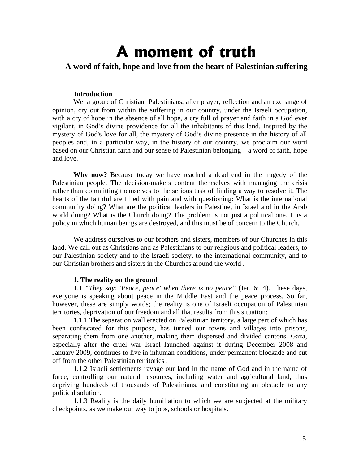# **A moment of truth**

#### **A word of faith, hope and love from the heart of Palestinian suffering**

#### **Introduction**

We, a group of Christian Palestinians, after prayer, reflection and an exchange of opinion, cry out from within the suffering in our country, under the Israeli occupation, with a cry of hope in the absence of all hope, a cry full of prayer and faith in a God ever vigilant, in God's divine providence for all the inhabitants of this land. Inspired by the mystery of God's love for all, the mystery of God's divine presence in the history of all peoples and, in a particular way, in the history of our country, we proclaim our word based on our Christian faith and our sense of Palestinian belonging – a word of faith, hope and love.

**Why now?** Because today we have reached a dead end in the tragedy of the Palestinian people. The decision-makers content themselves with managing the crisis rather than committing themselves to the serious task of finding a way to resolve it. The hearts of the faithful are filled with pain and with questioning: What is the international community doing? What are the political leaders in Palestine, in Israel and in the Arab world doing? What is the Church doing? The problem is not just a political one. It is a policy in which human beings are destroyed, and this must be of concern to the Church.

We address ourselves to our brothers and sisters, members of our Churches in this land. We call out as Christians and as Palestinians to our religious and political leaders, to our Palestinian society and to the Israeli society, to the international community, and to our Christian brothers and sisters in the Churches around the world .

#### **1. The reality on the ground**

1.1 *"They say: 'Peace, peace' when there is no peace"* (Jer. 6:14). These days, everyone is speaking about peace in the Middle East and the peace process. So far, however, these are simply words; the reality is one of Israeli occupation of Palestinian territories, deprivation of our freedom and all that results from this situation:

1.1.1 The separation wall erected on Palestinian territory, a large part of which has been confiscated for this purpose, has turned our towns and villages into prisons, separating them from one another, making them dispersed and divided cantons. Gaza, especially after the cruel war Israel launched against it during December 2008 and January 2009, continues to live in inhuman conditions, under permanent blockade and cut off from the other Palestinian territories .

1.1.2 Israeli settlements ravage our land in the name of God and in the name of force, controlling our natural resources, including water and agricultural land, thus depriving hundreds of thousands of Palestinians, and constituting an obstacle to any political solution.

1.1.3 Reality is the daily humiliation to which we are subjected at the military checkpoints, as we make our way to jobs, schools or hospitals.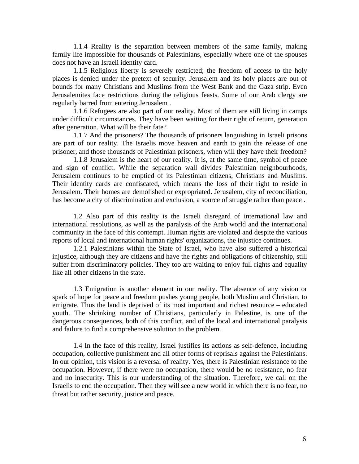1.1.4 Reality is the separation between members of the same family, making family life impossible for thousands of Palestinians, especially where one of the spouses does not have an Israeli identity card.

1.1.5 Religious liberty is severely restricted; the freedom of access to the holy places is denied under the pretext of security. Jerusalem and its holy places are out of bounds for many Christians and Muslims from the West Bank and the Gaza strip. Even Jerusalemites face restrictions during the religious feasts. Some of our Arab clergy are regularly barred from entering Jerusalem .

1.1.6 Refugees are also part of our reality. Most of them are still living in camps under difficult circumstances. They have been waiting for their right of return, generation after generation. What will be their fate?

1.1.7 And the prisoners? The thousands of prisoners languishing in Israeli prisons are part of our reality. The Israelis move heaven and earth to gain the release of one prisoner, and those thousands of Palestinian prisoners, when will they have their freedom?

1.1.8 Jerusalem is the heart of our reality. It is, at the same time, symbol of peace and sign of conflict. While the separation wall divides Palestinian neighbourhoods, Jerusalem continues to be emptied of its Palestinian citizens, Christians and Muslims. Their identity cards are confiscated, which means the loss of their right to reside in Jerusalem. Their homes are demolished or expropriated. Jerusalem, city of reconciliation, has become a city of discrimination and exclusion, a source of struggle rather than peace .

1.2 Also part of this reality is the Israeli disregard of international law and international resolutions, as well as the paralysis of the Arab world and the international community in the face of this contempt. Human rights are violated and despite the various reports of local and international human rights' organizations, the injustice continues.

1.2.1 Palestinians within the State of Israel, who have also suffered a historical injustice, although they are citizens and have the rights and obligations of citizenship, still suffer from discriminatory policies. They too are waiting to enjoy full rights and equality like all other citizens in the state.

1.3 Emigration is another element in our reality. The absence of any vision or spark of hope for peace and freedom pushes young people, both Muslim and Christian, to emigrate. Thus the land is deprived of its most important and richest resource – educated youth. The shrinking number of Christians, particularly in Palestine, is one of the dangerous consequences, both of this conflict, and of the local and international paralysis and failure to find a comprehensive solution to the problem.

1.4 In the face of this reality, Israel justifies its actions as self-defence, including occupation, collective punishment and all other forms of reprisals against the Palestinians. In our opinion, this vision is a reversal of reality. Yes, there is Palestinian resistance to the occupation. However, if there were no occupation, there would be no resistance, no fear and no insecurity. This is our understanding of the situation. Therefore, we call on the Israelis to end the occupation. Then they will see a new world in which there is no fear, no threat but rather security, justice and peace.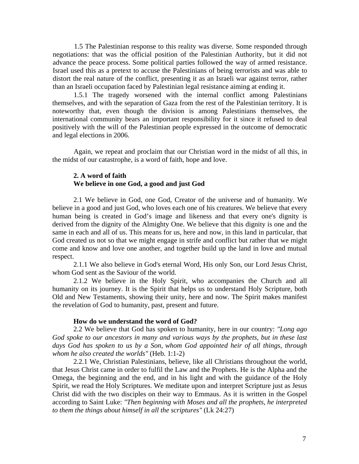1.5 The Palestinian response to this reality was diverse. Some responded through negotiations: that was the official position of the Palestinian Authority, but it did not advance the peace process. Some political parties followed the way of armed resistance. Israel used this as a pretext to accuse the Palestinians of being terrorists and was able to distort the real nature of the conflict, presenting it as an Israeli war against terror, rather than an Israeli occupation faced by Palestinian legal resistance aiming at ending it.

1.5.1 The tragedy worsened with the internal conflict among Palestinians themselves, and with the separation of Gaza from the rest of the Palestinian territory. It is noteworthy that, even though the division is among Palestinians themselves, the international community bears an important responsibility for it since it refused to deal positively with the will of the Palestinian people expressed in the outcome of democratic and legal elections in 2006.

Again, we repeat and proclaim that our Christian word in the midst of all this, in the midst of our catastrophe, is a word of faith, hope and love.

#### **2. A word of faith We believe in one God, a good and just God**

2.1 We believe in God, one God, Creator of the universe and of humanity. We believe in a good and just God, who loves each one of his creatures. We believe that every human being is created in God's image and likeness and that every one's dignity is derived from the dignity of the Almighty One. We believe that this dignity is one and the same in each and all of us. This means for us, here and now, in this land in particular, that God created us not so that we might engage in strife and conflict but rather that we might come and know and love one another, and together build up the land in love and mutual respect.

2.1.1 We also believe in God's eternal Word, His only Son, our Lord Jesus Christ, whom God sent as the Saviour of the world.

2.1.2 We believe in the Holy Spirit, who accompanies the Church and all humanity on its journey. It is the Spirit that helps us to understand Holy Scripture, both Old and New Testaments, showing their unity, here and now. The Spirit makes manifest the revelation of God to humanity, past, present and future.

#### **How do we understand the word of God?**

2.2 We believe that God has spoken to humanity, here in our country: *"Long ago God spoke to our ancestors in many and various ways by the prophets, but in these last days God has spoken to us by a Son, whom God appointed heir of all things, through whom he also created the worlds"* (Heb. 1:1-2)

2.2.1 We, Christian Palestinians, believe, like all Christians throughout the world, that Jesus Christ came in order to fulfil the Law and the Prophets. He is the Alpha and the Omega, the beginning and the end, and in his light and with the guidance of the Holy Spirit, we read the Holy Scriptures. We meditate upon and interpret Scripture just as Jesus Christ did with the two disciples on their way to Emmaus. As it is written in the Gospel according to Saint Luke: *"Then beginning with Moses and all the prophets, he interpreted to them the things about himself in all the scriptures"* (Lk 24:27)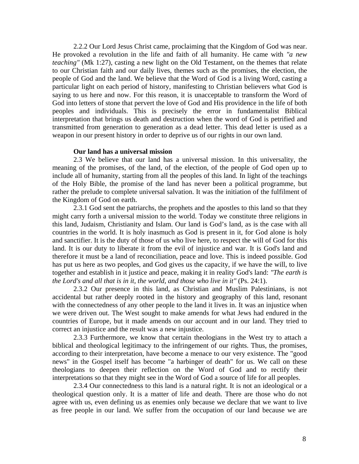2.2.2 Our Lord Jesus Christ came, proclaiming that the Kingdom of God was near. He provoked a revolution in the life and faith of all humanity. He came with *"a new teaching"* (Mk 1:27), casting a new light on the Old Testament, on the themes that relate to our Christian faith and our daily lives, themes such as the promises, the election, the people of God and the land. We believe that the Word of God is a living Word, casting a particular light on each period of history, manifesting to Christian believers what God is saying to us here and now. For this reason, it is unacceptable to transform the Word of God into letters of stone that pervert the love of God and His providence in the life of both peoples and individuals. This is precisely the error in fundamentalist Biblical interpretation that brings us death and destruction when the word of God is petrified and transmitted from generation to generation as a dead letter. This dead letter is used as a weapon in our present history in order to deprive us of our rights in our own land.

#### **Our land has a universal mission**

2.3 We believe that our land has a universal mission. In this universality, the meaning of the promises, of the land, of the election, of the people of God open up to include all of humanity, starting from all the peoples of this land. In light of the teachings of the Holy Bible, the promise of the land has never been a political programme, but rather the prelude to complete universal salvation. It was the initiation of the fulfilment of the Kingdom of God on earth.

2.3.1 God sent the patriarchs, the prophets and the apostles to this land so that they might carry forth a universal mission to the world. Today we constitute three religions in this land, Judaism, Christianity and Islam. Our land is God's land, as is the case with all countries in the world. It is holy inasmuch as God is present in it, for God alone is holy and sanctifier. It is the duty of those of us who live here, to respect the will of God for this land. It is our duty to liberate it from the evil of injustice and war. It is God's land and therefore it must be a land of reconciliation, peace and love. This is indeed possible. God has put us here as two peoples, and God gives us the capacity, if we have the will, to live together and establish in it justice and peace, making it in reality God's land: *"The earth is the Lord's and all that is in it, the world, and those who live in it"* (Ps. 24:1).

2.3.2 Our presence in this land, as Christian and Muslim Palestinians, is not accidental but rather deeply rooted in the history and geography of this land, resonant with the connectedness of any other people to the land it lives in. It was an injustice when we were driven out. The West sought to make amends for what Jews had endured in the countries of Europe, but it made amends on our account and in our land. They tried to correct an injustice and the result was a new injustice.

2.3.3 Furthermore, we know that certain theologians in the West try to attach a biblical and theological legitimacy to the infringement of our rights. Thus, the promises, according to their interpretation, have become a menace to our very existence. The "good news" in the Gospel itself has become "a harbinger of death" for us. We call on these theologians to deepen their reflection on the Word of God and to rectify their interpretations so that they might see in the Word of God a source of life for all peoples.

2.3.4 Our connectedness to this land is a natural right. It is not an ideological or a theological question only. It is a matter of life and death. There are those who do not agree with us, even defining us as enemies only because we declare that we want to live as free people in our land. We suffer from the occupation of our land because we are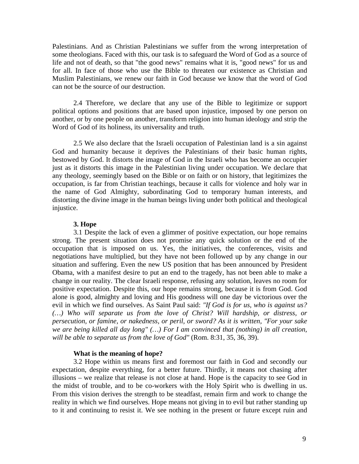Palestinians. And as Christian Palestinians we suffer from the wrong interpretation of some theologians. Faced with this, our task is to safeguard the Word of God as a source of life and not of death, so that "the good news" remains what it is, "good news" for us and for all. In face of those who use the Bible to threaten our existence as Christian and Muslim Palestinians, we renew our faith in God because we know that the word of God can not be the source of our destruction.

2.4 Therefore, we declare that any use of the Bible to legitimize or support political options and positions that are based upon injustice, imposed by one person on another, or by one people on another, transform religion into human ideology and strip the Word of God of its holiness, its universality and truth.

2.5 We also declare that the Israeli occupation of Palestinian land is a sin against God and humanity because it deprives the Palestinians of their basic human rights, bestowed by God. It distorts the image of God in the Israeli who has become an occupier just as it distorts this image in the Palestinian living under occupation. We declare that any theology, seemingly based on the Bible or on faith or on history, that legitimizes the occupation, is far from Christian teachings, because it calls for violence and holy war in the name of God Almighty, subordinating God to temporary human interests, and distorting the divine image in the human beings living under both political and theological injustice.

#### **3. Hope**

3.1 Despite the lack of even a glimmer of positive expectation, our hope remains strong. The present situation does not promise any quick solution or the end of the occupation that is imposed on us. Yes, the initiatives, the conferences, visits and negotiations have multiplied, but they have not been followed up by any change in our situation and suffering. Even the new US position that has been announced by President Obama, with a manifest desire to put an end to the tragedy, has not been able to make a change in our reality. The clear Israeli response, refusing any solution, leaves no room for positive expectation. Despite this, our hope remains strong, because it is from God. God alone is good, almighty and loving and His goodness will one day be victorious over the evil in which we find ourselves. As Saint Paul said: *"If God is for us, who is against us? (…) Who will separate us from the love of Christ? Will hardship, or distress, or persecution, or famine, or nakedness, or peril, or sword? As it is written, "For your sake we are being killed all day long" (…) For I am convinced that (nothing) in all creation, will be able to separate us from the love of God"* (Rom. 8:31, 35, 36, 39).

#### **What is the meaning of hope?**

3.2 Hope within us means first and foremost our faith in God and secondly our expectation, despite everything, for a better future. Thirdly, it means not chasing after illusions – we realize that release is not close at hand. Hope is the capacity to see God in the midst of trouble, and to be co-workers with the Holy Spirit who is dwelling in us. From this vision derives the strength to be steadfast, remain firm and work to change the reality in which we find ourselves. Hope means not giving in to evil but rather standing up to it and continuing to resist it. We see nothing in the present or future except ruin and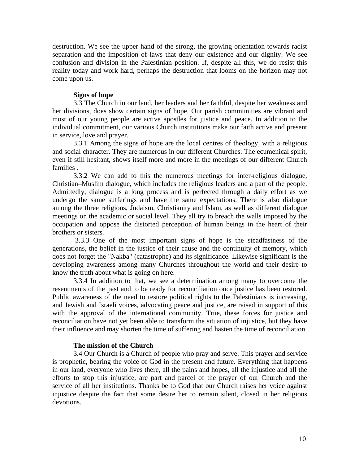destruction. We see the upper hand of the strong, the growing orientation towards racist separation and the imposition of laws that deny our existence and our dignity. We see confusion and division in the Palestinian position. If, despite all this, we do resist this reality today and work hard, perhaps the destruction that looms on the horizon may not come upon us.

#### **Signs of hope**

3.3 The Church in our land, her leaders and her faithful, despite her weakness and her divisions, does show certain signs of hope. Our parish communities are vibrant and most of our young people are active apostles for justice and peace. In addition to the individual commitment, our various Church institutions make our faith active and present in service, love and prayer.

3.3.1 Among the signs of hope are the local centres of theology, with a religious and social character. They are numerous in our different Churches. The ecumenical spirit, even if still hesitant, shows itself more and more in the meetings of our different Church families .

3.3.2 We can add to this the numerous meetings for inter-religious dialogue, Christian–Muslim dialogue, which includes the religious leaders and a part of the people. Admittedly, dialogue is a long process and is perfected through a daily effort as we undergo the same sufferings and have the same expectations. There is also dialogue among the three religions, Judaism, Christianity and Islam, as well as different dialogue meetings on the academic or social level. They all try to breach the walls imposed by the occupation and oppose the distorted perception of human beings in the heart of their brothers or sisters.

 3.3.3 One of the most important signs of hope is the steadfastness of the generations, the belief in the justice of their cause and the continuity of memory, which does not forget the "Nakba" (catastrophe) and its significance. Likewise significant is the developing awareness among many Churches throughout the world and their desire to know the truth about what is going on here.

3.3.4 In addition to that, we see a determination among many to overcome the resentments of the past and to be ready for reconciliation once justice has been restored. Public awareness of the need to restore political rights to the Palestinians is increasing, and Jewish and Israeli voices, advocating peace and justice, are raised in support of this with the approval of the international community. True, these forces for justice and reconciliation have not yet been able to transform the situation of injustice, but they have their influence and may shorten the time of suffering and hasten the time of reconciliation.

#### **The mission of the Church**

3.4 Our Church is a Church of people who pray and serve. This prayer and service is prophetic, bearing the voice of God in the present and future. Everything that happens in our land, everyone who lives there, all the pains and hopes, all the injustice and all the efforts to stop this injustice, are part and parcel of the prayer of our Church and the service of all her institutions. Thanks be to God that our Church raises her voice against injustice despite the fact that some desire her to remain silent, closed in her religious devotions.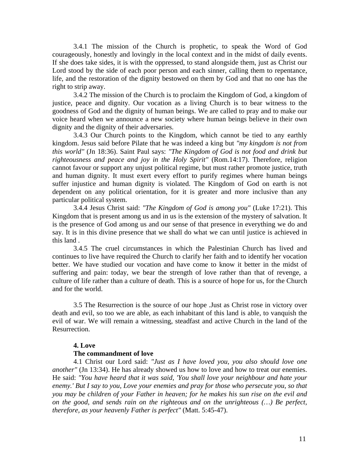3.4.1 The mission of the Church is prophetic, to speak the Word of God courageously, honestly and lovingly in the local context and in the midst of daily events. If she does take sides, it is with the oppressed, to stand alongside them, just as Christ our Lord stood by the side of each poor person and each sinner, calling them to repentance, life, and the restoration of the dignity bestowed on them by God and that no one has the right to strip away.

3.4.2 The mission of the Church is to proclaim the Kingdom of God, a kingdom of justice, peace and dignity. Our vocation as a living Church is to bear witness to the goodness of God and the dignity of human beings. We are called to pray and to make our voice heard when we announce a new society where human beings believe in their own dignity and the dignity of their adversaries.

3.4.3 Our Church points to the Kingdom, which cannot be tied to any earthly kingdom. Jesus said before Pilate that he was indeed a king but *"my kingdom is not from this world"* (Jn 18:36). Saint Paul says: *"The Kingdom of God is not food and drink but righteousness and peace and joy in the Holy Spirit"* (Rom.14:17). Therefore, religion cannot favour or support any unjust political regime, but must rather promote justice, truth and human dignity. It must exert every effort to purify regimes where human beings suffer injustice and human dignity is violated. The Kingdom of God on earth is not dependent on any political orientation, for it is greater and more inclusive than any particular political system.

3.4.4 Jesus Christ said: *"The Kingdom of God is among you"* (Luke 17:21). This Kingdom that is present among us and in us is the extension of the mystery of salvation. It is the presence of God among us and our sense of that presence in everything we do and say. It is in this divine presence that we shall do what we can until justice is achieved in this land .

3.4.5 The cruel circumstances in which the Palestinian Church has lived and continues to live have required the Church to clarify her faith and to identify her vocation better. We have studied our vocation and have come to know it better in the midst of suffering and pain: today, we bear the strength of love rather than that of revenge, a culture of life rather than a culture of death. This is a source of hope for us, for the Church and for the world.

3.5 The Resurrection is the source of our hope .Just as Christ rose in victory over death and evil, so too we are able, as each inhabitant of this land is able, to vanquish the evil of war. We will remain a witnessing, steadfast and active Church in the land of the Resurrection.

#### **4. Love**

#### **The commandment of love**

4.1 Christ our Lord said: *"Just as I have loved you, you also should love one another"* (Jn 13:34). He has already showed us how to love and how to treat our enemies. He said: *"You have heard that it was said, 'You shall love your neighbour and hate your enemy.' But I say to you, Love your enemies and pray for those who persecute you, so that you may be children of your Father in heaven; for he makes his sun rise on the evil and on the good, and sends rain on the righteous and on the unrighteous (…) Be perfect, therefore, as your heavenly Father is perfect"* (Matt. 5:45-47).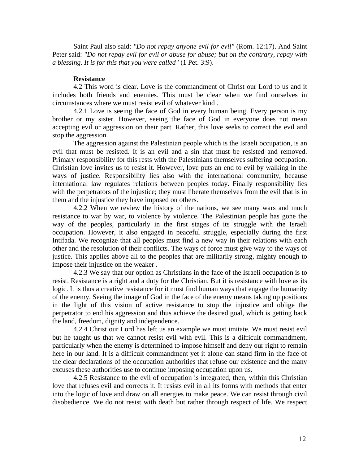Saint Paul also said: *"Do not repay anyone evil for evil"* (Rom. 12:17). And Saint Peter said: *"Do not repay evil for evil or abuse for abuse; but on the contrary, repay with a blessing. It is for this that you were called"* (1 Pet. 3:9).

#### **Resistance**

4.2 This word is clear. Love is the commandment of Christ our Lord to us and it includes both friends and enemies. This must be clear when we find ourselves in circumstances where we must resist evil of whatever kind .

4.2.1 Love is seeing the face of God in every human being. Every person is my brother or my sister. However, seeing the face of God in everyone does not mean accepting evil or aggression on their part. Rather, this love seeks to correct the evil and stop the aggression.

The aggression against the Palestinian people which is the Israeli occupation, is an evil that must be resisted. It is an evil and a sin that must be resisted and removed. Primary responsibility for this rests with the Palestinians themselves suffering occupation. Christian love invites us to resist it. However, love puts an end to evil by walking in the ways of justice. Responsibility lies also with the international community, because international law regulates relations between peoples today. Finally responsibility lies with the perpetrators of the injustice; they must liberate themselves from the evil that is in them and the injustice they have imposed on others.

4.2.2 When we review the history of the nations, we see many wars and much resistance to war by war, to violence by violence. The Palestinian people has gone the way of the peoples, particularly in the first stages of its struggle with the Israeli occupation. However, it also engaged in peaceful struggle, especially during the first Intifada. We recognize that all peoples must find a new way in their relations with each other and the resolution of their conflicts. The ways of force must give way to the ways of justice. This applies above all to the peoples that are militarily strong, mighty enough to impose their injustice on the weaker .

4.2.3 We say that our option as Christians in the face of the Israeli occupation is to resist. Resistance is a right and a duty for the Christian. But it is resistance with love as its logic. It is thus a creative resistance for it must find human ways that engage the humanity of the enemy. Seeing the image of God in the face of the enemy means taking up positions in the light of this vision of active resistance to stop the injustice and oblige the perpetrator to end his aggression and thus achieve the desired goal, which is getting back the land, freedom, dignity and independence.

4.2.4 Christ our Lord has left us an example we must imitate. We must resist evil but he taught us that we cannot resist evil with evil. This is a difficult commandment, particularly when the enemy is determined to impose himself and deny our right to remain here in our land. It is a difficult commandment yet it alone can stand firm in the face of the clear declarations of the occupation authorities that refuse our existence and the many excuses these authorities use to continue imposing occupation upon us.

4.2.5 Resistance to the evil of occupation is integrated, then, within this Christian love that refuses evil and corrects it. It resists evil in all its forms with methods that enter into the logic of love and draw on all energies to make peace. We can resist through civil disobedience. We do not resist with death but rather through respect of life. We respect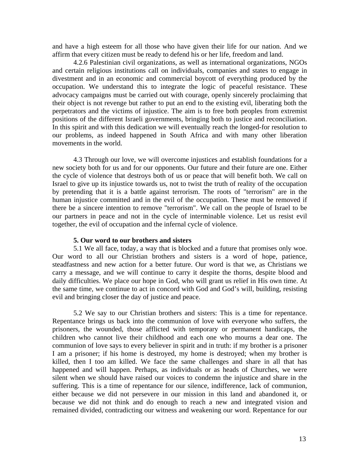and have a high esteem for all those who have given their life for our nation. And we affirm that every citizen must be ready to defend his or her life, freedom and land.

4.2.6 Palestinian civil organizations, as well as international organizations, NGOs and certain religious institutions call on individuals, companies and states to engage in divestment and in an economic and commercial boycott of everything produced by the occupation. We understand this to integrate the logic of peaceful resistance. These advocacy campaigns must be carried out with courage, openly sincerely proclaiming that their object is not revenge but rather to put an end to the existing evil, liberating both the perpetrators and the victims of injustice. The aim is to free both peoples from extremist positions of the different Israeli governments, bringing both to justice and reconciliation. In this spirit and with this dedication we will eventually reach the longed-for resolution to our problems, as indeed happened in South Africa and with many other liberation movements in the world.

4.3 Through our love, we will overcome injustices and establish foundations for a new society both for us and for our opponents. Our future and their future are one. Either the cycle of violence that destroys both of us or peace that will benefit both. We call on Israel to give up its injustice towards us, not to twist the truth of reality of the occupation by pretending that it is a battle against terrorism. The roots of "terrorism" are in the human injustice committed and in the evil of the occupation. These must be removed if there be a sincere intention to remove "terrorism". We call on the people of Israel to be our partners in peace and not in the cycle of interminable violence. Let us resist evil together, the evil of occupation and the infernal cycle of violence.

#### **5. Our word to our brothers and sisters**

5.1 We all face, today, a way that is blocked and a future that promises only woe. Our word to all our Christian brothers and sisters is a word of hope, patience, steadfastness and new action for a better future. Our word is that we, as Christians we carry a message, and we will continue to carry it despite the thorns, despite blood and daily difficulties. We place our hope in God, who will grant us relief in His own time. At the same time, we continue to act in concord with God and God's will, building, resisting evil and bringing closer the day of justice and peace.

5.2 We say to our Christian brothers and sisters: This is a time for repentance. Repentance brings us back into the communion of love with everyone who suffers, the prisoners, the wounded, those afflicted with temporary or permanent handicaps, the children who cannot live their childhood and each one who mourns a dear one. The communion of love says to every believer in spirit and in truth: if my brother is a prisoner I am a prisoner; if his home is destroyed, my home is destroyed; when my brother is killed, then I too am killed. We face the same challenges and share in all that has happened and will happen. Perhaps, as individuals or as heads of Churches, we were silent when we should have raised our voices to condemn the injustice and share in the suffering. This is a time of repentance for our silence, indifference, lack of communion, either because we did not persevere in our mission in this land and abandoned it, or because we did not think and do enough to reach a new and integrated vision and remained divided, contradicting our witness and weakening our word. Repentance for our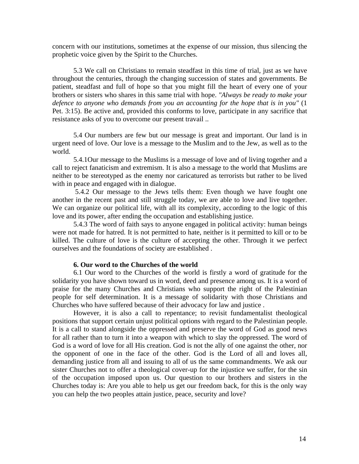concern with our institutions, sometimes at the expense of our mission, thus silencing the prophetic voice given by the Spirit to the Churches.

5.3 We call on Christians to remain steadfast in this time of trial, just as we have throughout the centuries, through the changing succession of states and governments. Be patient, steadfast and full of hope so that you might fill the heart of every one of your brothers or sisters who shares in this same trial with hope. *"Always be ready to make your defence to anyone who demands from you an accounting for the hope that is in you"* (1 Pet. 3:15). Be active and, provided this conforms to love, participate in any sacrifice that resistance asks of you to overcome our present travail ..

5.4 Our numbers are few but our message is great and important. Our land is in urgent need of love. Our love is a message to the Muslim and to the Jew, as well as to the world.

5.4.1Our message to the Muslims is a message of love and of living together and a call to reject fanaticism and extremism. It is also a message to the world that Muslims are neither to be stereotyped as the enemy nor caricatured as terrorists but rather to be lived with in peace and engaged with in dialogue.

 5.4.2 Our message to the Jews tells them: Even though we have fought one another in the recent past and still struggle today, we are able to love and live together. We can organize our political life, with all its complexity, according to the logic of this love and its power, after ending the occupation and establishing justice.

5.4.3 The word of faith says to anyone engaged in political activity: human beings were not made for hatred. It is not permitted to hate, neither is it permitted to kill or to be killed. The culture of love is the culture of accepting the other. Through it we perfect ourselves and the foundations of society are established .

#### **6. Our word to the Churches of the world**

6.1 Our word to the Churches of the world is firstly a word of gratitude for the solidarity you have shown toward us in word, deed and presence among us. It is a word of praise for the many Churches and Christians who support the right of the Palestinian people for self determination. It is a message of solidarity with those Christians and Churches who have suffered because of their advocacy for law and justice .

However, it is also a call to repentance; to revisit fundamentalist theological positions that support certain unjust political options with regard to the Palestinian people. It is a call to stand alongside the oppressed and preserve the word of God as good news for all rather than to turn it into a weapon with which to slay the oppressed. The word of God is a word of love for all His creation. God is not the ally of one against the other, nor the opponent of one in the face of the other. God is the Lord of all and loves all, demanding justice from all and issuing to all of us the same commandments. We ask our sister Churches not to offer a theological cover-up for the injustice we suffer, for the sin of the occupation imposed upon us. Our question to our brothers and sisters in the Churches today is: Are you able to help us get our freedom back, for this is the only way you can help the two peoples attain justice, peace, security and love?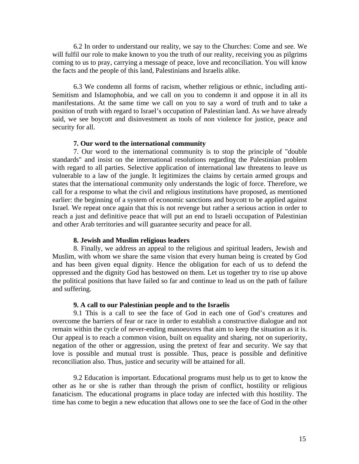6.2 In order to understand our reality, we say to the Churches: Come and see. We will fulfil our role to make known to you the truth of our reality, receiving you as pilgrims coming to us to pray, carrying a message of peace, love and reconciliation. You will know the facts and the people of this land, Palestinians and Israelis alike.

6.3 We condemn all forms of racism, whether religious or ethnic, including anti-Semitism and Islamophobia, and we call on you to condemn it and oppose it in all its manifestations. At the same time we call on you to say a word of truth and to take a position of truth with regard to Israel's occupation of Palestinian land. As we have already said, we see boycott and disinvestment as tools of non violence for justice, peace and security for all.

#### **7. Our word to the international community**

7. Our word to the international community is to stop the principle of "double standards" and insist on the international resolutions regarding the Palestinian problem with regard to all parties. Selective application of international law threatens to leave us vulnerable to a law of the jungle. It legitimizes the claims by certain armed groups and states that the international community only understands the logic of force. Therefore, we call for a response to what the civil and religious institutions have proposed, as mentioned earlier: the beginning of a system of economic sanctions and boycott to be applied against Israel. We repeat once again that this is not revenge but rather a serious action in order to reach a just and definitive peace that will put an end to Israeli occupation of Palestinian and other Arab territories and will guarantee security and peace for all.

#### **8. Jewish and Muslim religious leaders**

8. Finally, we address an appeal to the religious and spiritual leaders, Jewish and Muslim, with whom we share the same vision that every human being is created by God and has been given equal dignity. Hence the obligation for each of us to defend the oppressed and the dignity God has bestowed on them. Let us together try to rise up above the political positions that have failed so far and continue to lead us on the path of failure and suffering.

#### **9. A call to our Palestinian people and to the Israelis**

9.1 This is a call to see the face of God in each one of God's creatures and overcome the barriers of fear or race in order to establish a constructive dialogue and not remain within the cycle of never-ending manoeuvres that aim to keep the situation as it is. Our appeal is to reach a common vision, built on equality and sharing, not on superiority, negation of the other or aggression, using the pretext of fear and security. We say that love is possible and mutual trust is possible. Thus, peace is possible and definitive reconciliation also. Thus, justice and security will be attained for all.

9.2 Education is important. Educational programs must help us to get to know the other as he or she is rather than through the prism of conflict, hostility or religious fanaticism. The educational programs in place today are infected with this hostility. The time has come to begin a new education that allows one to see the face of God in the other